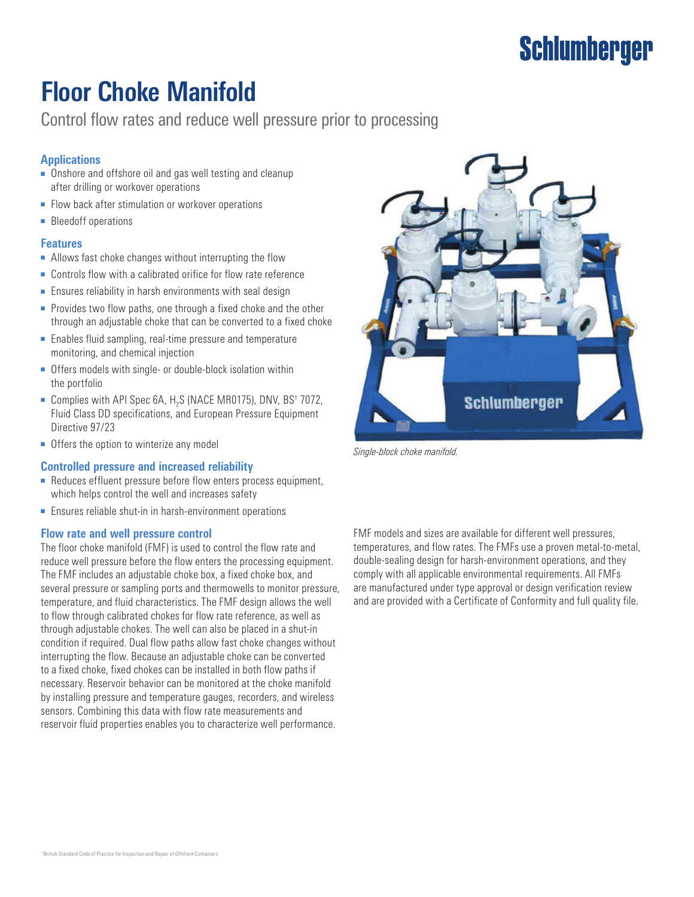# **Schlumberger**

## **Floor Choke Manifold**

Control flow rates and reduce well pressure prior to processing

#### **Applications**

- Onshore and offshore oil and gas well testing and cleanup after drilling or workover operations
- Flow back after stimulation or workover operations
- Bleedoff operations

#### **Features**

- Allows fast choke changes without interrupting the flow
- Controls flow with a calibrated orifice for flow rate reference
- Ensures reliability in harsh environments with seal design
- Provides two flow paths, one through a fixed choke and the other through an adjustable choke that can be converted to a fixed choke
- Enables fluid sampling, real-time pressure and temperature monitoring, and chemical injection
- Offers models with single- or double-block isolation within the portfolio
- Complies with API Spec 6A, H<sub>2</sub>S (NACE MR0175), DNV, BS† 7072, Fluid Class DD specifications, and European Pressure Equipment Directive 97/23
- Offers the option to winterize any model

#### **Controlled pressure and increased reliability**

- Reduces effluent pressure before flow enters process equipment, which helps control the well and increases safety
- Ensures reliable shut-in in harsh-environment operations

#### **Flow rate and well pressure control**

The floor choke manifold (FMF) is used to control the flow rate and reduce well pressure before the flow enters the processing equipment. The FMF includes an adjustable choke box, a fixed choke box, and several pressure or sampling ports and thermowells to monitor pressure, temperature, and fluid characteristics. The FMF design allows the well to flow through calibrated chokes for flow rate reference, as well as through adjustable chokes. The well can also be placed in a shut-in condition if required. Dual flow paths allow fast choke changes without interrupting the flow. Because an adjustable choke can be converted to a fixed choke, fixed chokes can be installed in both flow paths if necessary. Reservoir behavior can be monitored at the choke manifold by installing pressure and temperature gauges, recorders, and wireless sensors. Combining this data with flow rate measurements and reservoir fluid properties enables you to characterize well performance.



*Single-block choke manifold.*

FMF models and sizes are available for different well pressures, temperatures, and flow rates. The FMFs use a proven metal-to-metal, double-sealing design for harsh-environment operations, and they comply with all applicable environmental requirements. All FMFs are manufactured under type approval or design verification review and are provided with a Certificate of Conformity and full quality file.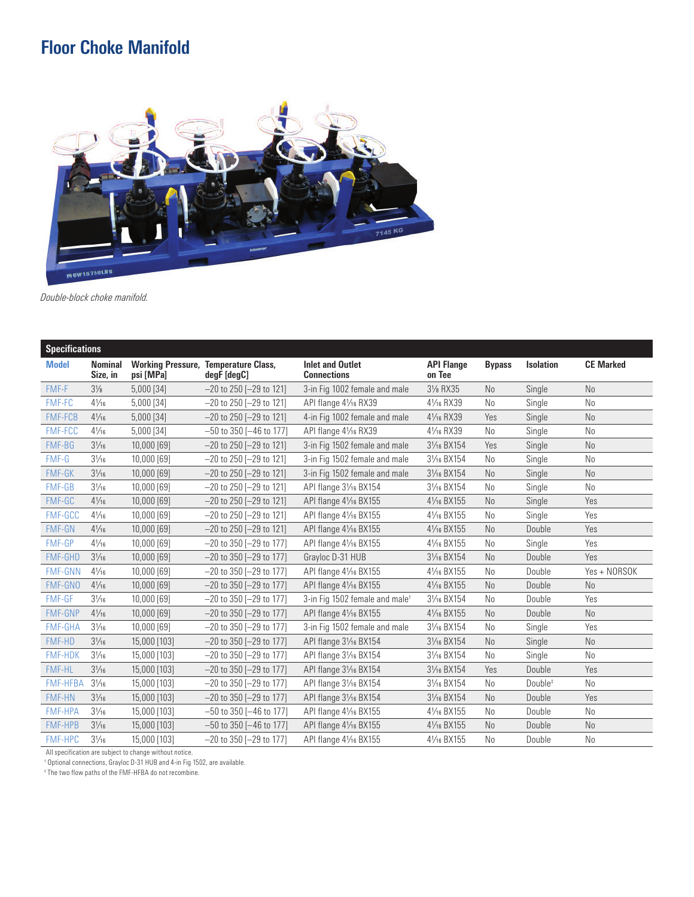## **Floor Choke Manifold**



*Double-block choke manifold.*

| <b>Specifications</b> |                 |                            |              |                                                            |                                               |                             |                |                     |                  |  |  |
|-----------------------|-----------------|----------------------------|--------------|------------------------------------------------------------|-----------------------------------------------|-----------------------------|----------------|---------------------|------------------|--|--|
|                       | <b>Model</b>    | <b>Nominal</b><br>Size, in | psi [MPa]    | <b>Working Pressure, Temperature Class,</b><br>degF [degC] | <b>Inlet and Outlet</b><br><b>Connections</b> | <b>API Flange</b><br>on Tee | <b>Bypass</b>  | <b>Isolation</b>    | <b>CE Marked</b> |  |  |
|                       | FMF-F           | $3\frac{1}{8}$             | 5,000 [34]   | $-20$ to 250 [ $-29$ to 121]                               | 3-in Fig 1002 female and male                 | 31/8 RX35                   | No             | Single              | N <sub>0</sub>   |  |  |
|                       | <b>FMF-FC</b>   | $4\frac{1}{16}$            | 5,000 [34]   | $-20$ to 250 $-29$ to 1211                                 | API flange 41/16 RX39                         | 41/ <sub>16</sub> RX39      | No             | Single              | N <sub>0</sub>   |  |  |
|                       | <b>FMF-FCB</b>  | $4\frac{1}{16}$            | 5,000 [34]   | $-20$ to 250 [ $-29$ to 121]                               | 4-in Fig 1002 female and male                 | 41/ <sub>16</sub> RX39      | Yes            | Single              | N <sub>o</sub>   |  |  |
|                       | <b>FMF-FCC</b>  | $4\frac{1}{16}$            | 5,000 [34]   | $-50$ to 350 [ $-46$ to 177]                               | API flange 41/16 RX39                         | 41/ <sub>16</sub> RX39      | No             | Single              | No               |  |  |
|                       | FMF-BG          | $3\frac{1}{16}$            | 10,000 [69]  | $-20$ to 250 [ $-29$ to 121]                               | 3-in Fig 1502 female and male                 | 31/ <sub>16</sub> BX154     | Yes            | Single              | N <sub>o</sub>   |  |  |
|                       | FMF-G           | $3\frac{1}{16}$            | 10,000 [69]  | $-20$ to 250 [ $-29$ to 121]                               | 3-in Fig 1502 female and male                 | 31/16 BX154                 | No             | Single              | N <sub>0</sub>   |  |  |
|                       | <b>FMF-GK</b>   | $3\frac{1}{16}$            | 10,000 [69]  | $-20$ to 250 [ $-29$ to 121]                               | 3-in Fig 1502 female and male                 | 31/ <sub>16</sub> BX154     | N <sub>o</sub> | Single              | N <sub>o</sub>   |  |  |
|                       | FMF-GB          | $3\frac{1}{16}$            | 10,000 [69]  | $-20$ to 250 [ $-29$ to 121]                               | API flange 31/16 BX154                        | 31/16 BX154                 | No             | Single              | No               |  |  |
|                       | FMF-GC          | $4\frac{1}{16}$            | 10,000 [69]  | $-20$ to 250 [ $-29$ to 121]                               | API flange 41/16 BX155                        | 41/ <sub>16</sub> BX155     | N <sub>0</sub> | Single              | Yes              |  |  |
|                       | FMF-GCC         | $4\frac{1}{16}$            | 10,000 [69]  | $-20$ to 250 [ $-29$ to 121]                               | API flange 41/16 BX155                        | 41/ <sub>16</sub> BX155     | No             | Single              | Yes              |  |  |
|                       | <b>FMF-GN</b>   | $4\frac{1}{16}$            | 10,000 [69]  | $-20$ to 250 [ $-29$ to 121]                               | API flange $4\frac{1}{16}$ BX155              | 41/ <sub>16</sub> BX155     | N <sub>o</sub> | Double              | Yes              |  |  |
|                       | <b>FMF-GP</b>   | $4\frac{1}{16}$            | 10,000 [69]  | $-20$ to 350 [ $-29$ to 177]                               | API flange 41/16 BX155                        | 41/ <sub>16</sub> BX155     | No             | Single              | Yes              |  |  |
|                       | <b>FMF-GHD</b>  | $3\frac{1}{16}$            | 10,000 [69]  | $-20$ to 350 [ $-29$ to 177]                               | Grayloc D-31 HUB                              | 31/16 BX154                 | No.            | Double              | Yes              |  |  |
|                       | <b>FMF-GNN</b>  | $4\frac{1}{16}$            | 10,000 [69]  | $-20$ to 350 [ $-29$ to 177]                               | API flange 41/16 BX155                        | 41/ <sub>16</sub> BX155     | No             | Double              | Yes + NORSOK     |  |  |
|                       | <b>FMF-GNO</b>  | $4\frac{1}{16}$            | 10,000 [69]  | $-20$ to 350 [ $-29$ to 177]                               | API flange 41/16 BX155                        | 41/ <sub>16</sub> BX155     | N <sub>o</sub> | Double              | N <sub>o</sub>   |  |  |
|                       | <b>FMF-GF</b>   | $3\frac{1}{16}$            | 10,000 [69]  | $-20$ to 350 [ $-29$ to 177]                               | 3-in Fig 1502 female and male <sup>+</sup>    | 31/16 BX154                 | N <sub>0</sub> | Double              | Yes              |  |  |
|                       | <b>FMF-GNP</b>  | $4\frac{1}{16}$            | 10,000 [69]  | $-20$ to 350 [ $-29$ to 177]                               | API flange 41/16 BX155                        | 41/ <sub>16</sub> BX155     | No             | Double              | No               |  |  |
|                       | <b>FMF-GHA</b>  | $3\frac{1}{16}$            | 10,000 [69]  | $-20$ to 350 [ $-29$ to 177]                               | 3-in Fig 1502 female and male                 | 31/ <sub>16</sub> BX154     | No             | Single              | Yes              |  |  |
|                       | <b>FMF-HD</b>   | $3\frac{1}{16}$            | 15,000 [103] | $-20$ to 350 [ $-29$ to 177]                               | API flange 31/16 BX154                        | 31/ <sub>16</sub> BX154     | N <sub>0</sub> | Single              | N <sub>o</sub>   |  |  |
|                       | <b>FMF-HDK</b>  | $3\frac{1}{16}$            | 15,000 [103] | $-20$ to 350 [ $-29$ to 177]                               | API flange 31/16 BX154                        | 31/16 BX154                 | No             | Single              | No               |  |  |
|                       | <b>FMF-HL</b>   | $3\frac{1}{16}$            | 15,000 [103] | $-20$ to 350 [ $-29$ to 177]                               | API flange 31/16 BX154                        | 31/ <sub>16</sub> BX154     | Yes            | Double              | Yes              |  |  |
|                       | <b>FMF-HFBA</b> | $3\frac{1}{16}$            | 15,000 [103] | $-20$ to 350 [ $-29$ to 177]                               | API flange 31/16 BX154                        | 31/ <sub>16</sub> BX154     | N <sub>0</sub> | Double <sup>#</sup> | No               |  |  |
|                       | <b>FMF-HN</b>   | $3\frac{1}{16}$            | 15,000 [103] | $-20$ to 350 [ $-29$ to 177]                               | API flange 31/16 BX154                        | 31/ <sub>16</sub> BX154     | No             | Double              | Yes              |  |  |
|                       | <b>FMF-HPA</b>  | $3\frac{1}{16}$            | 15,000 [103] | $-50$ to 350 [ $-46$ to 177]                               | API flange 41/16 BX155                        | 41/16 BX155                 | No             | Double              | N <sub>0</sub>   |  |  |
|                       | <b>FMF-HPB</b>  | $3\frac{1}{16}$            | 15,000 [103] | $-50$ to 350 [ $-46$ to 177]                               | API flange 41/16 BX155                        | 41/ <sub>16</sub> BX155     | No             | Double              | N <sub>0</sub>   |  |  |
|                       | <b>FMF-HPC</b>  | $3\frac{1}{16}$            | 15,000 [103] | $-20$ to 350 [ $-29$ to 177]                               | API flange 41/16 BX155                        | 41/ <sub>16</sub> BX155     | No             | Double              | N <sub>0</sub>   |  |  |
|                       |                 |                            |              |                                                            |                                               |                             |                |                     |                  |  |  |

All specification are subject to change without notice. † Optional connections, Grayloc D-31 HUB and 4-in Fig 1502, are available.

‡ The two flow paths of the FMF-HFBA do not recombine.